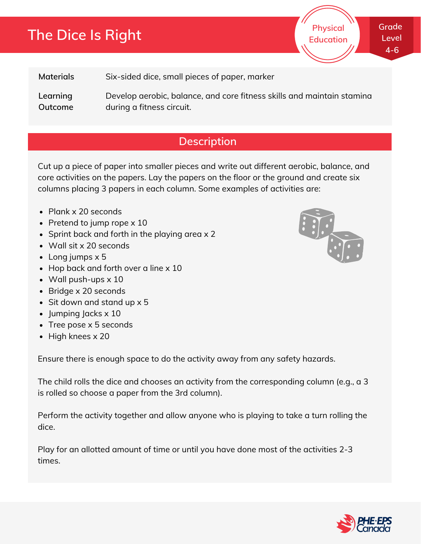# **The Dice Is Right**

**Materials** Six-sided dice, small pieces of paper, marker

**Learning Outcome** Develop aerobic, balance, and core fitness skills and maintain stamina during a fitness circuit.

## **Description**

Cut up a piece of paper into smaller pieces and write out different aerobic, balance, and core activities on the papers. Lay the papers on the floor or the ground and create six columns placing 3 papers in each column. Some examples of activities are:

- Plank x 20 seconds
- Pretend to jump rope  $\times$  10
- Sprint back and forth in the playing area  $\times$  2
- Wall sit x 20 seconds
- Long jumps x 5
- Hop back and forth over a line x 10
- Wall push-ups x 10
- Bridge x 20 seconds
- Sit down and stand up x 5
- $\bullet$  Jumping Jacks  $\times$  10
- Tree pose x 5 seconds
- $\bullet$  High knees x 20

Ensure there is enough space to do the activity away from any safety hazards.

The child rolls the dice and chooses an activity from the corresponding column (e.g., a 3 is rolled so choose a paper from the 3rd column).

Perform the activity together and allow anyone who is playing to take a turn rolling the dice.

Play for an allotted amount of time or until you have done most of the activities 2-3 times.



**Physical Education**